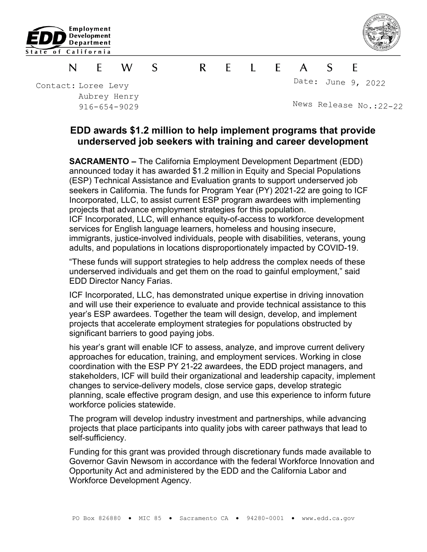



S  $\mathsf{R}$  $\mathsf{F}$  $\blacksquare$  $\mathsf{S}$ F N F W  $\mathsf{A}$ 

Contact: Loree Levy Aubrey Henry 916-654-9029 Date: June 9, 2022

News Release No.:22-<sup>22</sup>

## **EDD awards \$1.2 million to help implement programs that provide underserved job seekers with training and career development**

**SACRAMENTO –** The California Employment Development Department (EDD) announced today it has awarded \$1.2 million in Equity and Special Populations (ESP) Technical Assistance and Evaluation grants to support underserved job seekers in California. The funds for Program Year (PY) 2021-22 are going to ICF Incorporated, LLC, to assist current ESP program awardees with implementing projects that advance employment strategies for this population.

ICF Incorporated, LLC, will enhance equity-of-access to workforce development services for English language learners, homeless and housing insecure, immigrants, justice-involved individuals, people with disabilities, veterans, young adults, and populations in locations disproportionately impacted by COVID-19.

"These funds will support strategies to help address the complex needs of these underserved individuals and get them on the road to gainful employment," said EDD Director Nancy Farias.

ICF Incorporated, LLC, has demonstrated unique expertise in driving innovation and will use their experience to evaluate and provide technical assistance to this year's ESP awardees. Together the team will design, develop, and implement projects that accelerate employment strategies for populations obstructed by significant barriers to good paying jobs.

his year's grant will enable ICF to assess, analyze, and improve current delivery approaches for education, training, and employment services. Working in close coordination with the ESP PY 21-22 awardees, the EDD project managers, and stakeholders, ICF will build their organizational and leadership capacity, implement changes to service-delivery models, close service gaps, develop strategic planning, scale effective program design, and use this experience to inform future workforce policies statewide.

The program will develop industry investment and partnerships, while advancing projects that place participants into quality jobs with career pathways that lead to self-sufficiency.

Funding for this grant was provided through discretionary funds made available to Governor Gavin Newsom in accordance with the federal Workforce Innovation and Opportunity Act and administered by the EDD and the California Labor and Workforce Development Agency.